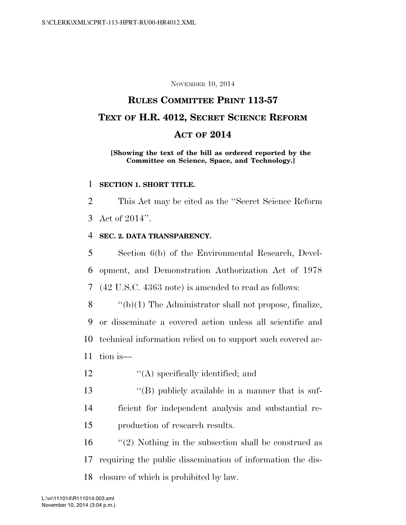#### NOVEMBER 10, 2014

# **RULES COMMITTEE PRINT 113-57 TEXT OF H.R. 4012, SECRET SCIENCE REFORM ACT OF 2014**

#### **[Showing the text of the bill as ordered reported by the Committee on Science, Space, and Technology.]**

#### 1 **SECTION 1. SHORT TITLE.**

2 This Act may be cited as the ''Secret Science Reform 3 Act of 2014''.

### 4 **SEC. 2. DATA TRANSPARENCY.**

5 Section 6(b) of the Environmental Research, Devel-6 opment, and Demonstration Authorization Act of 1978 7 (42 U.S.C. 4363 note) is amended to read as follows:

8  $\langle \mathbf{b}(1) \rangle$  The Administrator shall not propose, finalize, 9 or disseminate a covered action unless all scientific and 10 technical information relied on to support such covered ac-

- 11 tion is—
- 12  $\langle A \rangle$  specifically identified; and
- 13 ''(B) publicly available in a manner that is suf-14 ficient for independent analysis and substantial re-15 production of research results.

16 ''(2) Nothing in the subsection shall be construed as 17 requiring the public dissemination of information the dis-18 closure of which is prohibited by law.